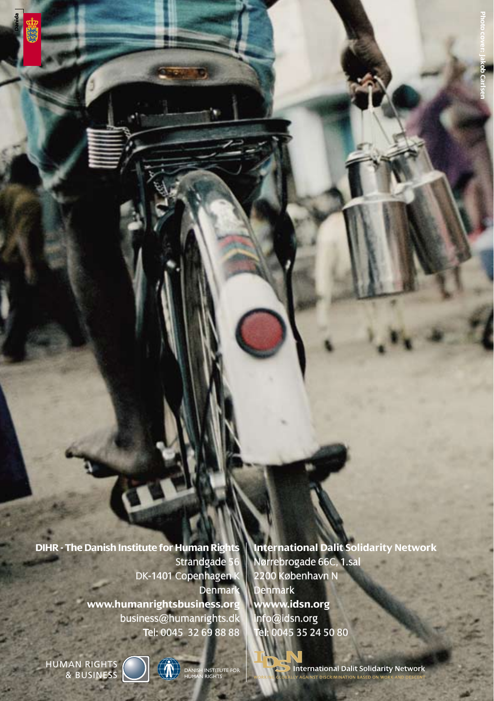Strandgade DK-1401 Copenhagen Denmar **www.humanrightsbusiness.org** business@humanrights.dk Tel: 0045 32 69 88 88

**DIHR - The Danish Institute for Human Rights International Dalit Solidarity Network** Nørrebrogade 66C, 1.sal 2200 København N Denmark **wwww.idsn.org**  info@idsn.org Tel: 0045 35 24 50 80

HUMAN RIGHTS<br>
& BUSINESS NAMED PUMAN RIGHTS



INSTITUTE FOR

 $\blacksquare$ 

I<br>Dinternational Dalit Solidarity Network AGAINST DISCRIMINATION BASED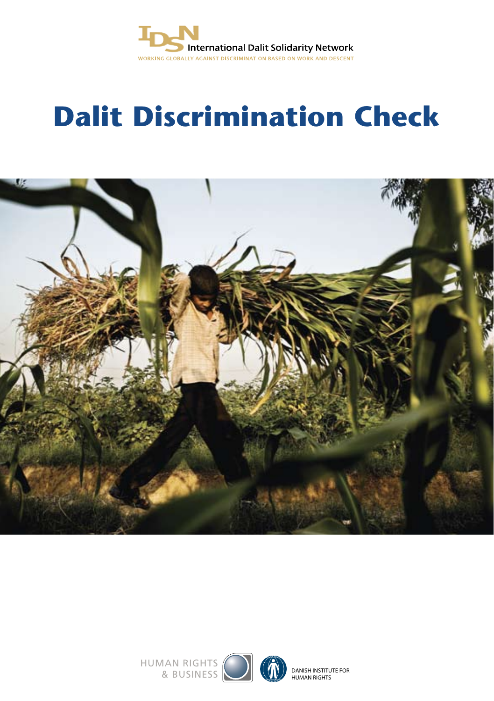

## **Dalit Discrimination Check**



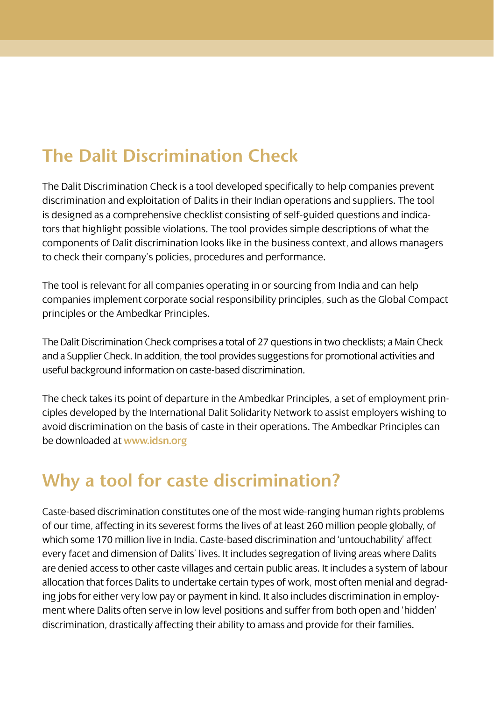## **The Dalit Discrimination Check**

The Dalit Discrimination Check is a tool developed specifically to help companies prevent discrimination and exploitation of Dalits in their Indian operations and suppliers. The tool is designed as a comprehensive checklist consisting of self-guided questions and indicators that highlight possible violations. The tool provides simple descriptions of what the components of Dalit discrimination looks like in the business context, and allows managers to check their company's policies, procedures and performance.

The tool is relevant for all companies operating in or sourcing from India and can help companies implement corporate social responsibility principles, such as the Global Compact principles or the Ambedkar Principles.

The Dalit Discrimination Check comprises a total of 27 questions in two checklists; a Main Check and a Supplier Check. In addition, the tool provides suggestions for promotional activities and useful background information on caste-based discrimination.

The check takes its point of departure in the Ambedkar Principles, a set of employment principles developed by the International Dalit Solidarity Network to assist employers wishing to avoid discrimination on the basis of caste in their operations. The Ambedkar Principles can be downloaded at **www.idsn.org**

## **Why a tool for caste discrimination?**

Caste-based discrimination constitutes one of the most wide-ranging human rights problems of our time, affecting in its severest forms the lives of at least 260 million people globally, of which some 170 million live in India. Caste-based discrimination and 'untouchability' affect every facet and dimension of Dalits' lives. It includes segregation of living areas where Dalits are denied access to other caste villages and certain public areas. It includes a system of labour allocation that forces Dalits to undertake certain types of work, most often menial and degrading jobs for either very low pay or payment in kind. It also includes discrimination in employment where Dalits often serve in low level positions and suffer from both open and 'hidden' discrimination, drastically affecting their ability to amass and provide for their families.